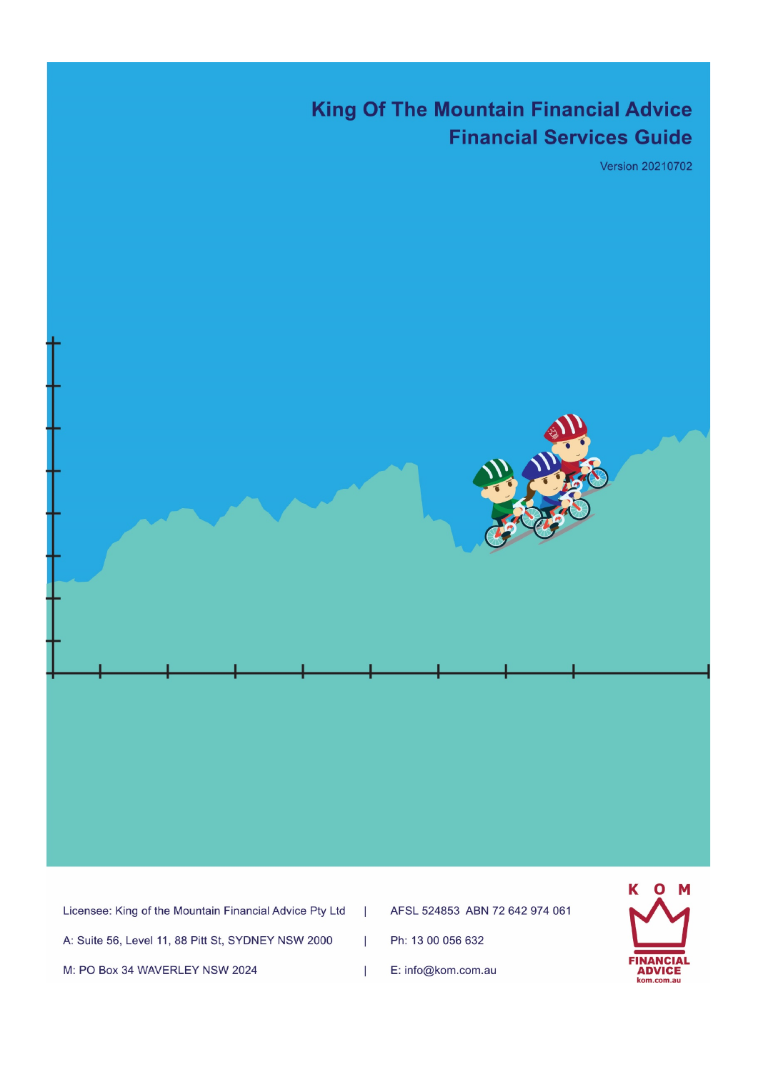# **King Of The Mountain Financial Advice Financial Services Guide**

**Version 20210702** 



 $\mathbf{I}$ 

 $\overline{1}$ 

 $\overline{1}$ 

| Licensee: King of the Mountain Financial Advice Pty Ltd |  |
|---------------------------------------------------------|--|
| A: Suite 56, Level 11, 88 Pitt St, SYDNEY NSW 2000      |  |
| M: PO Box 34 WAVERLEY NSW 2024                          |  |

AFSL 524853 ABN 72 642 974 061

Ph: 13 00 056 632

E: info@kom.com.au

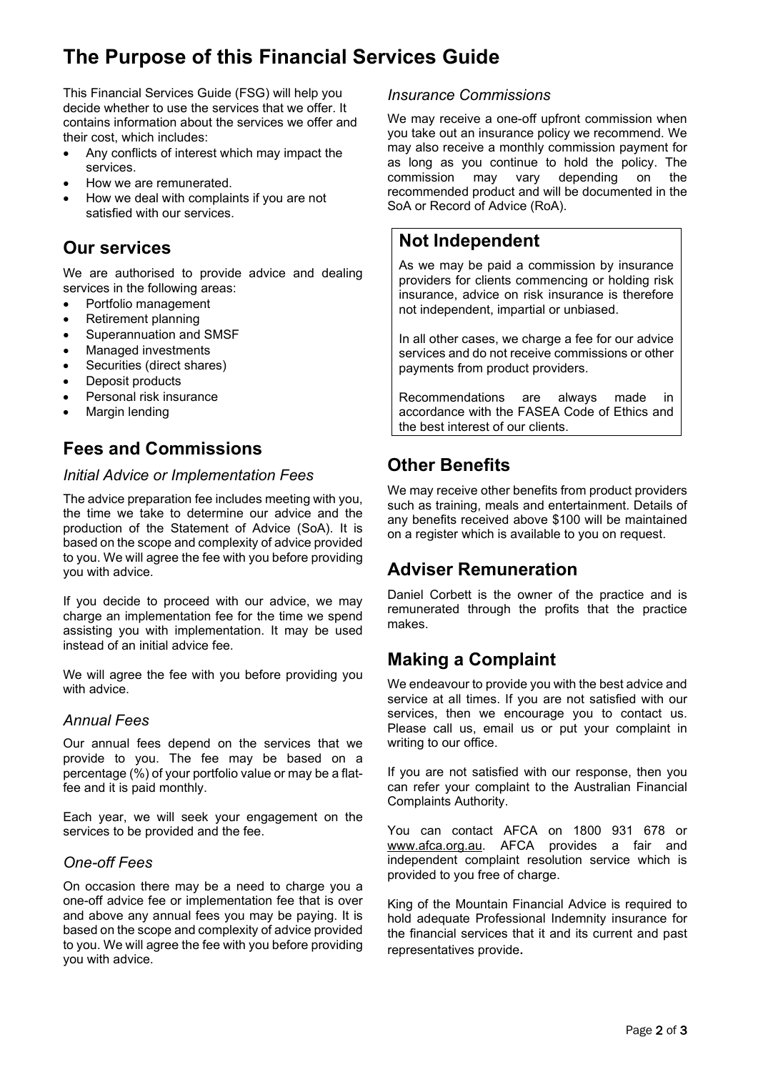# **The Purpose of this Financial Services Guide**

This Financial Services Guide (FSG) will help you decide whether to use the services that we offer. It contains information about the services we offer and their cost, which includes:

- Any conflicts of interest which may impact the services.
- How we are remunerated.
- How we deal with complaints if you are not satisfied with our services.

### **Our services**

We are authorised to provide advice and dealing services in the following areas:

- Portfolio management
- Retirement planning
- Superannuation and SMSF
- Managed investments
- Securities (direct shares)
- Deposit products
- Personal risk insurance
- Margin lending

### **Fees and Commissions**

#### *Initial Advice or Implementation Fees*

The advice preparation fee includes meeting with you, the time we take to determine our advice and the production of the Statement of Advice (SoA). It is based on the scope and complexity of advice provided to you. We will agree the fee with you before providing you with advice.

If you decide to proceed with our advice, we may charge an implementation fee for the time we spend assisting you with implementation. It may be used instead of an initial advice fee.

We will agree the fee with you before providing you with advice.

### *Annual Fees*

Our annual fees depend on the services that we provide to you. The fee may be based on a percentage (%) of your portfolio value or may be a flatfee and it is paid monthly.

Each year, we will seek your engagement on the services to be provided and the fee.

### *One-off Fees*

On occasion there may be a need to charge you a one-off advice fee or implementation fee that is over and above any annual fees you may be paying. It is based on the scope and complexity of advice provided to you. We will agree the fee with you before providing you with advice.

### *Insurance Commissions*

We may receive a one-off upfront commission when you take out an insurance policy we recommend. We may also receive a monthly commission payment for as long as you continue to hold the policy. The may vary depending on the recommended product and will be documented in the SoA or Record of Advice (RoA).

### **Not Independent**

As we may be paid a commission by insurance providers for clients commencing or holding risk insurance, advice on risk insurance is therefore not independent, impartial or unbiased.

In all other cases, we charge a fee for our advice services and do not receive commissions or other payments from product providers.

Recommendations are always made in accordance with the FASEA Code of Ethics and the best interest of our clients.

## **Other Benefits**

We may receive other benefits from product providers such as training, meals and entertainment. Details of any benefits received above \$100 will be maintained on a register which is available to you on request.

## **Adviser Remuneration**

Daniel Corbett is the owner of the practice and is remunerated through the profits that the practice makes.

## **Making a Complaint**

We endeavour to provide you with the best advice and service at all times. If you are not satisfied with our services, then we encourage you to contact us. Please call us, email us or put your complaint in writing to our office.

If you are not satisfied with our response, then you can refer your complaint to the Australian Financial Complaints Authority.

You can contact AFCA on 1800 931 678 or [www.afca.org.au.](http://www.afca.org.au/) AFCA provides a fair and independent complaint resolution service which is provided to you free of charge.

King of the Mountain Financial Advice is required to hold adequate Professional Indemnity insurance for the financial services that it and its current and past representatives provide.